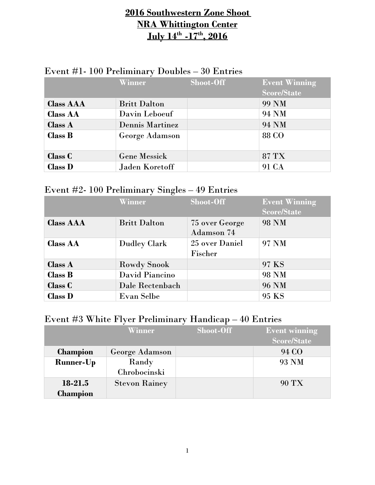## **2016 Southwestern Zone Shoot NRA Whittington Center July 14th -17th, 2016**

| $\triangle$ equal $\pm$ 1. The Lemmingty Doubles $-$ 30 Europes |                        |           |                      |
|-----------------------------------------------------------------|------------------------|-----------|----------------------|
|                                                                 | Winner                 | Shoot-Off | <b>Event Winning</b> |
|                                                                 |                        |           | <b>Score/State</b>   |
| <b>Class AAA</b>                                                | <b>Britt Dalton</b>    |           | 99 NM                |
| <b>Class AA</b>                                                 | Davin Leboeuf          |           | 94 NM                |
| Class A                                                         | <b>Dennis Martinez</b> |           | 94 NM                |
| Class B                                                         | George Adamson         |           | 88 CO                |
| <b>Class C</b>                                                  | <b>Gene Messick</b>    |           | 87 TX                |
| <b>Class D</b>                                                  | Jaden Koretoff         |           | 91 CA                |

### Event  $\#$ l. 100 Preliminary Doubles – 30 Entries

### Event #2- 100 Preliminary Singles – 49 Entries

|                  | Winner              | Shoot-Off                           | <b>Event Winning</b><br><b>Score/State</b> |
|------------------|---------------------|-------------------------------------|--------------------------------------------|
| <b>Class AAA</b> | <b>Britt Dalton</b> | 75 over George<br><b>Adamson 74</b> | <b>98 NM</b>                               |
| <b>Class AA</b>  | <b>Dudley Clark</b> | 25 over Daniel<br>Fischer           | 97 NM                                      |
| <b>Class A</b>   | <b>Rowdy Snook</b>  |                                     | 97 KS                                      |
| <b>Class B</b>   | David Piancino      |                                     | 98 NM                                      |
| <b>Class C</b>   | Dale Rectenbach     |                                     | <b>96 NM</b>                               |
| <b>Class D</b>   | Evan Selbe          |                                     | 95 KS                                      |

### Event #3 White Flyer Preliminary Handicap – 40 Entries

|                  | Winner               | Shoot-Off | <b>Event winning</b> |
|------------------|----------------------|-----------|----------------------|
|                  |                      |           | <b>Score/State</b>   |
| <b>Champion</b>  | George Adamson       |           | 94 CO                |
| <b>Runner-Up</b> | Randy                |           | 93 NM                |
|                  | Chrobocinski         |           |                      |
| 18-21.5          | <b>Stevon Rainey</b> |           | <b>90 TX</b>         |
| <b>Champion</b>  |                      |           |                      |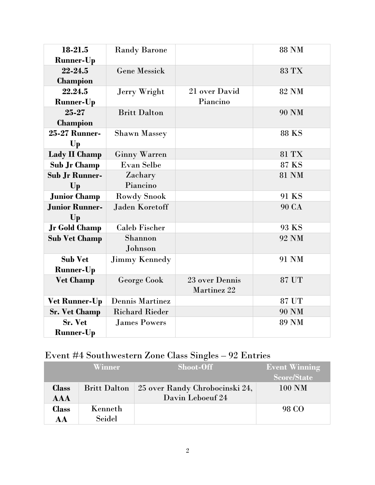| 18-21.5<br><b>Runner-Up</b> | <b>Randy Barone</b>    |                               | <b>88 NM</b> |
|-----------------------------|------------------------|-------------------------------|--------------|
| 22-24.5                     | <b>Gene Messick</b>    |                               | <b>83 TX</b> |
| Champion                    |                        |                               |              |
| 22.24.5                     | Jerry Wright           | 21 over David                 | <b>82 NM</b> |
| <b>Runner-Up</b>            |                        | Piancino                      |              |
| 25-27                       | <b>Britt Dalton</b>    |                               | <b>90 NM</b> |
| <b>Champion</b>             |                        |                               |              |
| 25-27 Runner-               | <b>Shawn Massey</b>    |                               | <b>88 KS</b> |
| $\mathbf{U}\mathbf{p}$      |                        |                               |              |
| Lady II Champ               | <b>Ginny Warren</b>    |                               | 81 TX        |
| <b>Sub Jr Champ</b>         | Evan Selbe             |                               | 87 KS        |
| <b>Sub Jr Runner-</b>       | Zachary                |                               | <b>81 NM</b> |
| Up                          | Piancino               |                               |              |
| <b>Junior Champ</b>         | <b>Rowdy Snook</b>     |                               | 91 KS        |
| <b>Junior Runner-</b>       | <b>Jaden Koretoff</b>  |                               | <b>90 CA</b> |
| Up                          |                        |                               |              |
| <b>Jr Gold Champ</b>        | <b>Caleb Fischer</b>   |                               | 93 KS        |
| <b>Sub Vet Champ</b>        | Shannon                |                               | 92 NM        |
|                             | Johnson                |                               |              |
| <b>Sub Vet</b>              | <b>Jimmy Kennedy</b>   |                               | 91 NM        |
| <b>Runner-Up</b>            |                        |                               |              |
| <b>Vet Champ</b>            | <b>George Cook</b>     | 23 over Dennis<br>Martinez 22 | 87 UT        |
| <b>Vet Runner-Up</b>        | <b>Dennis Martinez</b> |                               | 87 UT        |
| <b>Sr. Vet Champ</b>        | <b>Richard Rieder</b>  |                               | <b>90 NM</b> |
| Sr. Vet                     | <b>James Powers</b>    |                               | <b>89 NM</b> |
| <b>Runner-Up</b>            |                        |                               |              |

# Event #4 Southwestern Zone Class Singles – 92 Entries

|              | Winner              | Shoot-Off                      | <b>Event Winning</b> |
|--------------|---------------------|--------------------------------|----------------------|
|              |                     |                                | Score/State          |
| <b>Class</b> | <b>Britt Dalton</b> | 25 over Randy Chrobocinski 24, | $100$ NM             |
| <b>AAA</b>   |                     | Davin Leboeuf 24               |                      |
| <b>Class</b> | Kenneth             |                                | 98 CO                |
| AA           | Seidel              |                                |                      |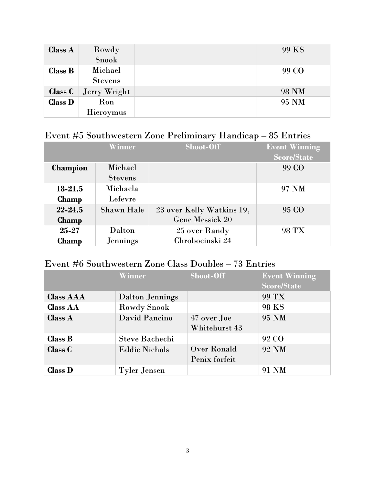| <b>Class A</b> | Rowdy            | 99 KS        |
|----------------|------------------|--------------|
|                | Snook            |              |
| <b>Class B</b> | Michael          | 99 CO        |
|                | <b>Stevens</b>   |              |
| Class C        | Jerry Wright     | <b>98 NM</b> |
| <b>Class D</b> | Ron              | 95 NM        |
|                | <b>Hieroymus</b> |              |

# Event #5 Southwestern Zone Preliminary Handicap – 85 Entries

|                 | Winner            | <b>Shoot-Off</b>          | <b>Event Winning</b> |
|-----------------|-------------------|---------------------------|----------------------|
|                 |                   |                           | <b>Score/State</b>   |
| <b>Champion</b> | Michael           |                           | 99 CO                |
|                 | <b>Stevens</b>    |                           |                      |
| 18-21.5         | Michaela          |                           | 97 NM                |
| <b>Champ</b>    | Lefevre           |                           |                      |
| $22 - 24.5$     | <b>Shawn Hale</b> | 23 over Kelly Watkins 19, | 95 CO                |
| <b>Champ</b>    |                   | <b>Gene Messick 20</b>    |                      |
| 25-27           | Dalton            | 25 over Randy             | 98 TX                |
| <b>Champ</b>    | <b>Jennings</b>   | Chrobocinski 24           |                      |

## Event #6 Southwestern Zone Class Doubles – 73 Entries

|                  | Winner                 | Shoot-Off     | <b>Event Winning</b> |
|------------------|------------------------|---------------|----------------------|
|                  |                        |               | <b>Score/State</b>   |
| <b>Class AAA</b> | <b>Dalton Jennings</b> |               | 99 TX                |
| <b>Class AA</b>  | <b>Rowdy Snook</b>     |               | 98 KS                |
| Class A          | David Pancino          | 47 over Joe   | 95 NM                |
|                  |                        | Whitehurst 43 |                      |
| Class B          | <b>Steve Bachechi</b>  |               | 92 CO                |
| <b>Class C</b>   | <b>Eddie Nichols</b>   | Over Ronald   | <b>92 NM</b>         |
|                  |                        | Penix forfeit |                      |
| <b>Class D</b>   | <b>Tyler Jensen</b>    |               | 91 NM                |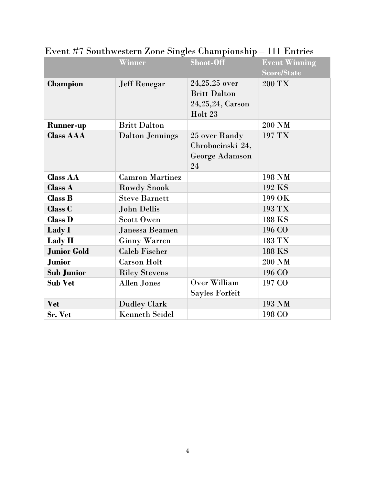|                    | Winner                 | Shoot-Off                              | <b>Event Winning</b> |
|--------------------|------------------------|----------------------------------------|----------------------|
|                    |                        |                                        | <b>Score/State</b>   |
| <b>Champion</b>    | <b>Jeff Renegar</b>    | $24,25,25$ over<br><b>Britt Dalton</b> | 200 TX               |
|                    |                        | 24, 25, 24, Carson                     |                      |
|                    |                        | Holt 23                                |                      |
| <b>Runner-up</b>   | <b>Britt Dalton</b>    |                                        | 200 NM               |
| <b>Class AAA</b>   | <b>Dalton Jennings</b> | 25 over Randy<br>Chrobocinski 24,      | 197 TX               |
|                    |                        | George Adamson<br>24                   |                      |
| <b>Class AA</b>    | <b>Camron Martinez</b> |                                        | 198 NM               |
| <b>Class A</b>     | <b>Rowdy Snook</b>     |                                        | 192 KS               |
| <b>Class B</b>     | <b>Steve Barnett</b>   |                                        | 199 OK               |
| Class C            | <b>John Dellis</b>     |                                        | 193 TX               |
| <b>Class D</b>     | <b>Scott Owen</b>      |                                        | 188 KS               |
| Lady I             | Janessa Beamen         |                                        | 196 CO               |
| Lady II            | <b>Ginny Warren</b>    |                                        | 183 TX               |
| <b>Junior Gold</b> | <b>Caleb Fischer</b>   |                                        | 188 KS               |
| <b>Junior</b>      | <b>Carson Holt</b>     |                                        | 200 NM               |
| <b>Sub Junior</b>  | <b>Riley Stevens</b>   |                                        | 196 CO               |
| <b>Sub Vet</b>     | <b>Allen Jones</b>     | Over William                           | 197 CO               |
|                    |                        | Sayles Forfeit                         |                      |
| <b>Vet</b>         | <b>Dudley Clark</b>    |                                        | 193 NM               |
| Sr. Vet            | <b>Kenneth Seidel</b>  |                                        | 198 CO               |

Event #7 Southwestern Zone Singles Championship – 111 Entries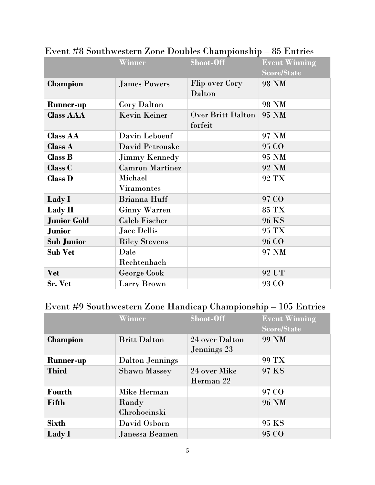|                    | Winner                       | Shoot-Off                           | <b>Event Winning</b><br><b>Score/State</b> |
|--------------------|------------------------------|-------------------------------------|--------------------------------------------|
| <b>Champion</b>    | <b>James Powers</b>          | <b>Flip over Cory</b><br>Dalton     | <b>98 NM</b>                               |
| <b>Runner-up</b>   | <b>Cory Dalton</b>           |                                     | 98 NM                                      |
| <b>Class AAA</b>   | <b>Kevin Keiner</b>          | <b>Over Britt Dalton</b><br>forfeit | 95 NM                                      |
| <b>Class AA</b>    | Davin Leboeuf                |                                     | 97 NM                                      |
| Class A            | David Petrouske              |                                     | 95 CO                                      |
| <b>Class B</b>     | <b>Jimmy Kennedy</b>         |                                     | 95 NM                                      |
| Class C            | <b>Camron Martinez</b>       |                                     | 92 NM                                      |
| <b>Class D</b>     | Michael<br><b>Viramontes</b> |                                     | 92 TX                                      |
| Lady I             | Brianna Huff                 |                                     | 97 CO                                      |
| Lady II            | <b>Ginny Warren</b>          |                                     | 85 TX                                      |
| <b>Junior Gold</b> | <b>Caleb Fischer</b>         |                                     | 96 KS                                      |
| <b>Junior</b>      | <b>Jace Dellis</b>           |                                     | 95 TX                                      |
| <b>Sub Junior</b>  | <b>Riley Stevens</b>         |                                     | 96 CO                                      |
| <b>Sub Vet</b>     | Dale                         |                                     | 97 NM                                      |
|                    | Rechtenbach                  |                                     |                                            |
| <b>Vet</b>         | <b>George Cook</b>           |                                     | 92 UT                                      |
| Sr. Vet            | Larry Brown                  |                                     | 93 CO                                      |

### Event #8 Southwestern Zone Doubles Championship – 85 Entries

# Event #9 Southwestern Zone Handicap Championship – 105 Entries

|                  | Winner                 | Shoot-Off      | <b>Event Winning</b> |
|------------------|------------------------|----------------|----------------------|
|                  |                        |                | <b>Score/State</b>   |
| <b>Champion</b>  | <b>Britt Dalton</b>    | 24 over Dalton | 99 NM                |
|                  |                        | Jennings 23    |                      |
| <b>Runner-up</b> | <b>Dalton Jennings</b> |                | 99 TX                |
| <b>Third</b>     | <b>Shawn Massey</b>    | 24 over Mike   | 97 KS                |
|                  |                        | Herman 22      |                      |
| Fourth           | Mike Herman            |                | 97 CO                |
| Fifth            | Randy                  |                | <b>96 NM</b>         |
|                  | Chrobocinski           |                |                      |
| <b>Sixth</b>     | David Osborn           |                | 95 KS                |
| <b>Lady</b> I    | Janessa Beamen         |                | 95 CO                |